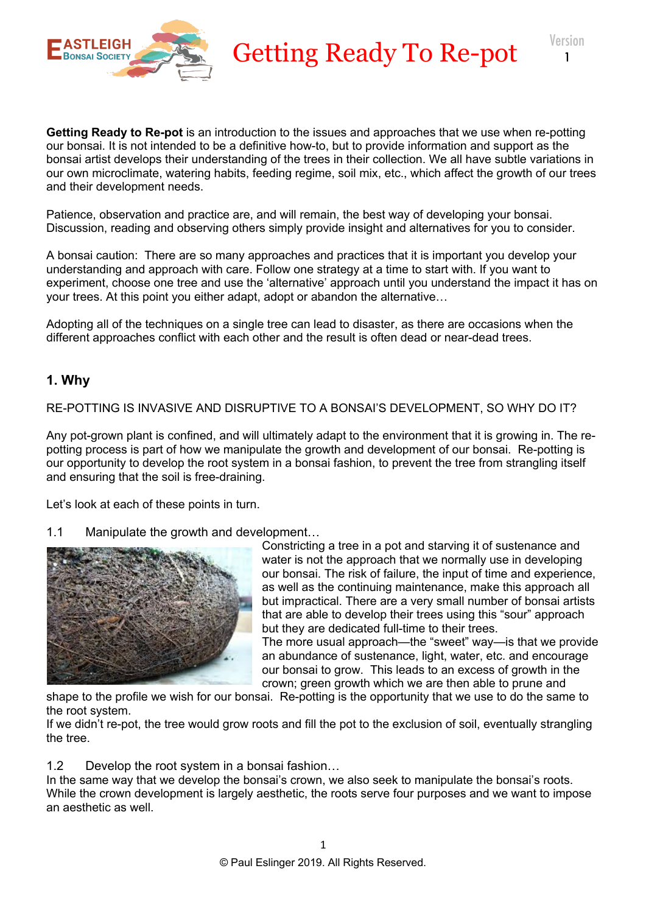

**Getting Ready to Re-pot** is an introduction to the issues and approaches that we use when re-potting our bonsai. It is not intended to be a definitive how-to, but to provide information and support as the bonsai artist develops their understanding of the trees in their collection. We all have subtle variations in our own microclimate, watering habits, feeding regime, soil mix, etc., which affect the growth of our trees and their development needs.

Patience, observation and practice are, and will remain, the best way of developing your bonsai. Discussion, reading and observing others simply provide insight and alternatives for you to consider.

A bonsai caution: There are so many approaches and practices that it is important you develop your understanding and approach with care. Follow one strategy at a time to start with. If you want to experiment, choose one tree and use the 'alternative' approach until you understand the impact it has on your trees. At this point you either adapt, adopt or abandon the alternative…

Adopting all of the techniques on a single tree can lead to disaster, as there are occasions when the different approaches conflict with each other and the result is often dead or near-dead trees.

# **1. Why**

RE-POTTING IS INVASIVE AND DISRUPTIVE TO A BONSAI'S DEVELOPMENT, SO WHY DO IT?

Any pot-grown plant is confined, and will ultimately adapt to the environment that it is growing in. The repotting process is part of how we manipulate the growth and development of our bonsai. Re-potting is our opportunity to develop the root system in a bonsai fashion, to prevent the tree from strangling itself and ensuring that the soil is free-draining.

Let's look at each of these points in turn.

1.1 Manipulate the growth and development…



Constricting a tree in a pot and starving it of sustenance and water is not the approach that we normally use in developing our bonsai. The risk of failure, the input of time and experience, as well as the continuing maintenance, make this approach all but impractical. There are a very small number of bonsai artists that are able to develop their trees using this "sour" approach but they are dedicated full-time to their trees.

The more usual approach—the "sweet" way—is that we provide an abundance of sustenance, light, water, etc. and encourage our bonsai to grow. This leads to an excess of growth in the crown; green growth which we are then able to prune and

shape to the profile we wish for our bonsai. Re-potting is the opportunity that we use to do the same to the root system.

If we didn't re-pot, the tree would grow roots and fill the pot to the exclusion of soil, eventually strangling the tree.

1.2 Develop the root system in a bonsai fashion…

In the same way that we develop the bonsai's crown, we also seek to manipulate the bonsai's roots. While the crown development is largely aesthetic, the roots serve four purposes and we want to impose an aesthetic as well.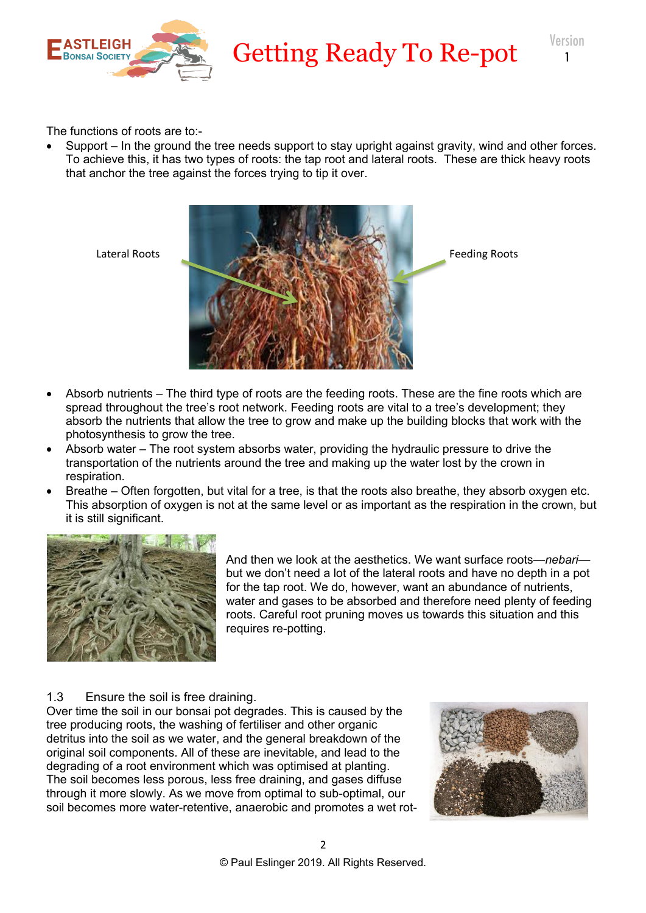

The functions of roots are to:-

• Support – In the ground the tree needs support to stay upright against gravity, wind and other forces. To achieve this, it has two types of roots: the tap root and lateral roots. These are thick heavy roots that anchor the tree against the forces trying to tip it over.



- Absorb nutrients The third type of roots are the feeding roots. These are the fine roots which are spread throughout the tree's root network. Feeding roots are vital to a tree's development; they absorb the nutrients that allow the tree to grow and make up the building blocks that work with the photosynthesis to grow the tree.
- Absorb water The root system absorbs water, providing the hydraulic pressure to drive the transportation of the nutrients around the tree and making up the water lost by the crown in respiration.
- Breathe Often forgotten, but vital for a tree, is that the roots also breathe, they absorb oxygen etc. This absorption of oxygen is not at the same level or as important as the respiration in the crown, but it is still significant.



And then we look at the aesthetics. We want surface roots—*nebari* but we don't need a lot of the lateral roots and have no depth in a pot for the tap root. We do, however, want an abundance of nutrients, water and gases to be absorbed and therefore need plenty of feeding roots. Careful root pruning moves us towards this situation and this requires re-potting.

#### 1.3 Ensure the soil is free draining.

Over time the soil in our bonsai pot degrades. This is caused by the tree producing roots, the washing of fertiliser and other organic detritus into the soil as we water, and the general breakdown of the original soil components. All of these are inevitable, and lead to the degrading of a root environment which was optimised at planting. The soil becomes less porous, less free draining, and gases diffuse through it more slowly. As we move from optimal to sub-optimal, our soil becomes more water-retentive, anaerobic and promotes a wet rot-

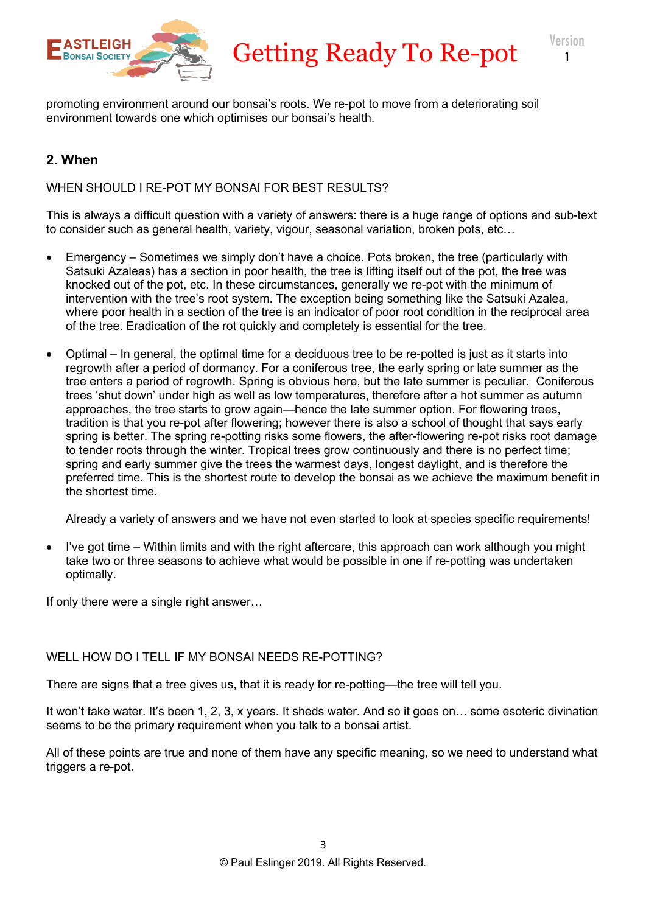

promoting environment around our bonsai's roots. We re-pot to move from a deteriorating soil environment towards one which optimises our bonsai's health.

# **2. When**

WHEN SHOULD I RE-POT MY BONSAI FOR BEST RESULTS?

This is always a difficult question with a variety of answers: there is a huge range of options and sub-text to consider such as general health, variety, vigour, seasonal variation, broken pots, etc…

- Emergency Sometimes we simply don't have a choice. Pots broken, the tree (particularly with Satsuki Azaleas) has a section in poor health, the tree is lifting itself out of the pot, the tree was knocked out of the pot, etc. In these circumstances, generally we re-pot with the minimum of intervention with the tree's root system. The exception being something like the Satsuki Azalea, where poor health in a section of the tree is an indicator of poor root condition in the reciprocal area of the tree. Eradication of the rot quickly and completely is essential for the tree.
- Optimal In general, the optimal time for a deciduous tree to be re-potted is just as it starts into regrowth after a period of dormancy. For a coniferous tree, the early spring or late summer as the tree enters a period of regrowth. Spring is obvious here, but the late summer is peculiar. Coniferous trees 'shut down' under high as well as low temperatures, therefore after a hot summer as autumn approaches, the tree starts to grow again—hence the late summer option. For flowering trees, tradition is that you re-pot after flowering; however there is also a school of thought that says early spring is better. The spring re-potting risks some flowers, the after-flowering re-pot risks root damage to tender roots through the winter. Tropical trees grow continuously and there is no perfect time; spring and early summer give the trees the warmest days, longest daylight, and is therefore the preferred time. This is the shortest route to develop the bonsai as we achieve the maximum benefit in the shortest time.

Already a variety of answers and we have not even started to look at species specific requirements!

• I've got time – Within limits and with the right aftercare, this approach can work although you might take two or three seasons to achieve what would be possible in one if re-potting was undertaken optimally.

If only there were a single right answer…

#### WELL HOW DO I TELL IF MY BONSAI NEEDS RE-POTTING?

There are signs that a tree gives us, that it is ready for re-potting—the tree will tell you.

It won't take water. It's been 1, 2, 3, x years. It sheds water. And so it goes on… some esoteric divination seems to be the primary requirement when you talk to a bonsai artist.

All of these points are true and none of them have any specific meaning, so we need to understand what triggers a re-pot.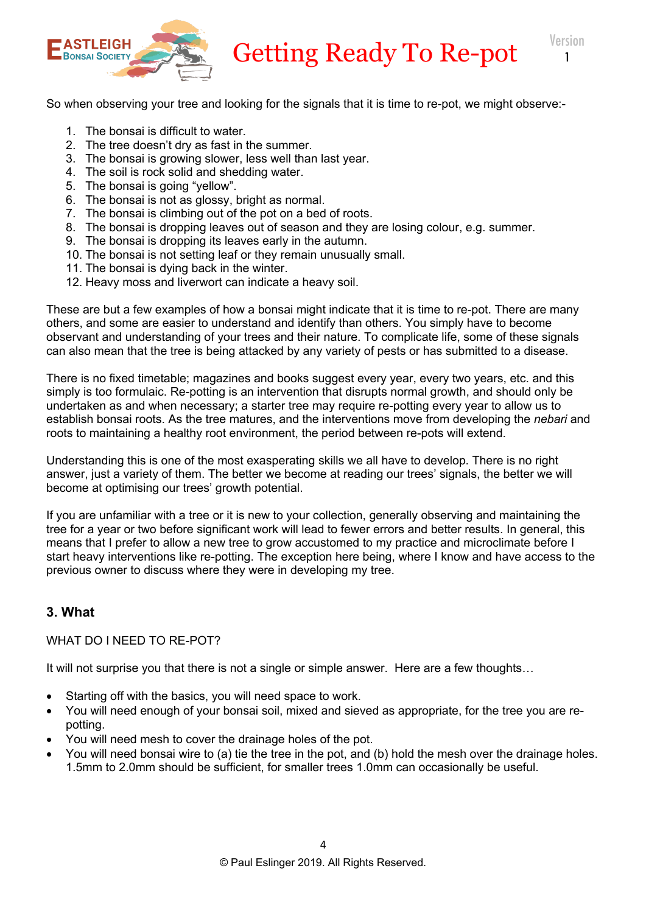

So when observing your tree and looking for the signals that it is time to re-pot, we might observe:-

- 1. The bonsai is difficult to water.
- 2. The tree doesn't dry as fast in the summer.
- 3. The bonsai is growing slower, less well than last year.
- 4. The soil is rock solid and shedding water.
- 5. The bonsai is going "yellow".
- 6. The bonsai is not as glossy, bright as normal.
- 7. The bonsai is climbing out of the pot on a bed of roots.
- 8. The bonsai is dropping leaves out of season and they are losing colour, e.g. summer.
- 9. The bonsai is dropping its leaves early in the autumn.
- 10. The bonsai is not setting leaf or they remain unusually small.
- 11. The bonsai is dying back in the winter.
- 12. Heavy moss and liverwort can indicate a heavy soil.

These are but a few examples of how a bonsai might indicate that it is time to re-pot. There are many others, and some are easier to understand and identify than others. You simply have to become observant and understanding of your trees and their nature. To complicate life, some of these signals can also mean that the tree is being attacked by any variety of pests or has submitted to a disease.

There is no fixed timetable; magazines and books suggest every year, every two years, etc. and this simply is too formulaic. Re-potting is an intervention that disrupts normal growth, and should only be undertaken as and when necessary; a starter tree may require re-potting every year to allow us to establish bonsai roots. As the tree matures, and the interventions move from developing the *nebari* and roots to maintaining a healthy root environment, the period between re-pots will extend.

Understanding this is one of the most exasperating skills we all have to develop. There is no right answer, just a variety of them. The better we become at reading our trees' signals, the better we will become at optimising our trees' growth potential.

If you are unfamiliar with a tree or it is new to your collection, generally observing and maintaining the tree for a year or two before significant work will lead to fewer errors and better results. In general, this means that I prefer to allow a new tree to grow accustomed to my practice and microclimate before I start heavy interventions like re-potting. The exception here being, where I know and have access to the previous owner to discuss where they were in developing my tree.

# **3. What**

WHAT DO I NEED TO RE-POT?

It will not surprise you that there is not a single or simple answer. Here are a few thoughts…

- Starting off with the basics, you will need space to work.
- You will need enough of your bonsai soil, mixed and sieved as appropriate, for the tree you are repotting.
- You will need mesh to cover the drainage holes of the pot.
- You will need bonsai wire to (a) tie the tree in the pot, and (b) hold the mesh over the drainage holes. 1.5mm to 2.0mm should be sufficient, for smaller trees 1.0mm can occasionally be useful.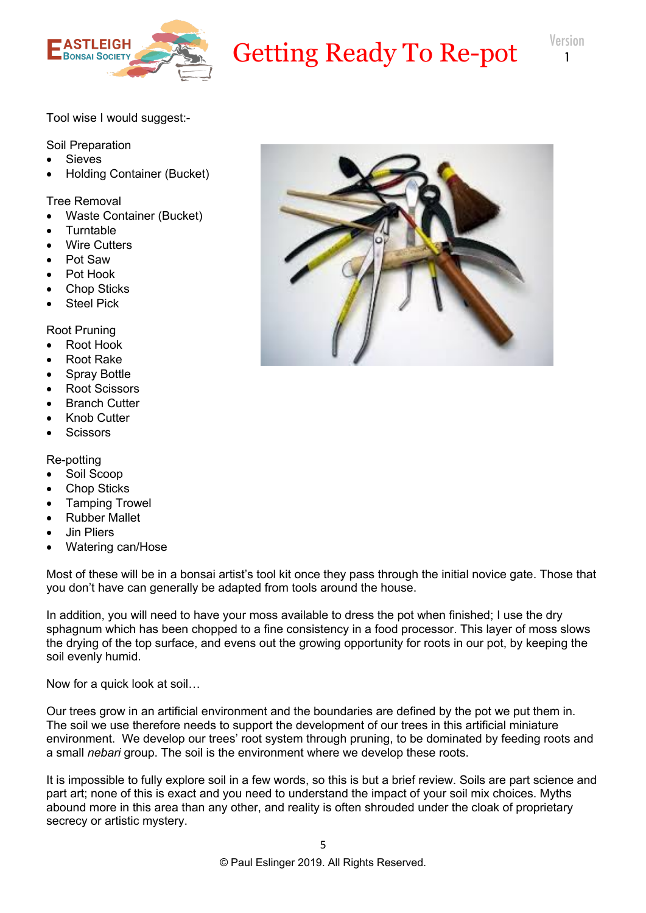

Tool wise I would suggest:-

#### Soil Preparation

- Sieves
- Holding Container (Bucket)

Tree Removal

- Waste Container (Bucket)
- **Turntable**
- Wire Cutters
- Pot Saw
- Pot Hook
- Chop Sticks
- **Steel Pick**

#### Root Pruning

- Root Hook
- Root Rake
- **Spray Bottle**
- Root Scissors
- Branch Cutter
- Knob Cutter
- Scissors

Re-potting

- Soil Scoop
- Chop Sticks
- Tamping Trowel
- Rubber Mallet
- **Jin Pliers**
- Watering can/Hose

Most of these will be in a bonsai artist's tool kit once they pass through the initial novice gate. Those that you don't have can generally be adapted from tools around the house.

In addition, you will need to have your moss available to dress the pot when finished; I use the dry sphagnum which has been chopped to a fine consistency in a food processor. This layer of moss slows the drying of the top surface, and evens out the growing opportunity for roots in our pot, by keeping the soil evenly humid.

Now for a quick look at soil…

Our trees grow in an artificial environment and the boundaries are defined by the pot we put them in. The soil we use therefore needs to support the development of our trees in this artificial miniature environment. We develop our trees' root system through pruning, to be dominated by feeding roots and a small *nebari* group. The soil is the environment where we develop these roots.

It is impossible to fully explore soil in a few words, so this is but a brief review. Soils are part science and part art; none of this is exact and you need to understand the impact of your soil mix choices. Myths abound more in this area than any other, and reality is often shrouded under the cloak of proprietary secrecy or artistic mystery.

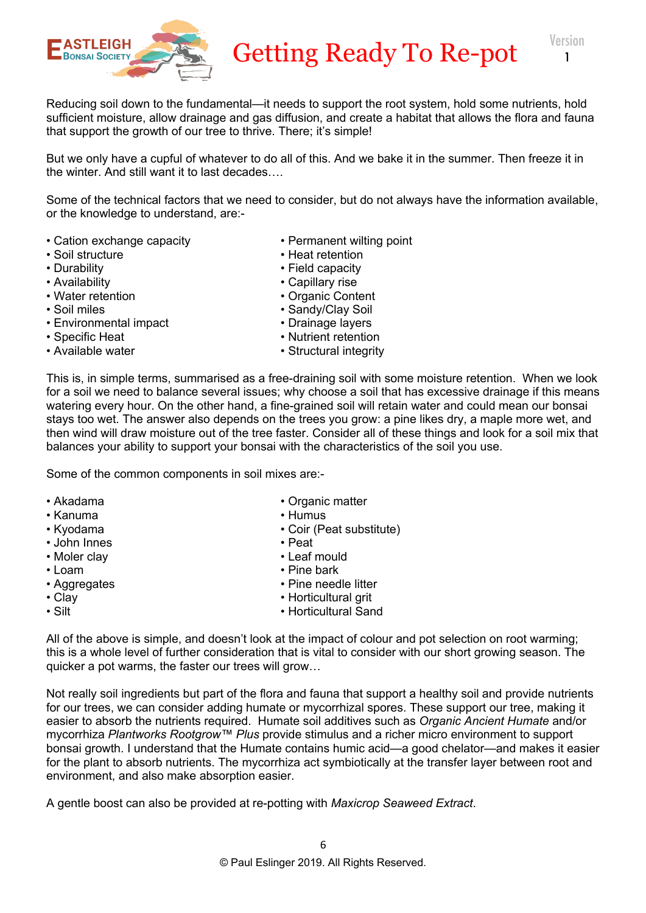

Reducing soil down to the fundamental—it needs to support the root system, hold some nutrients, hold sufficient moisture, allow drainage and gas diffusion, and create a habitat that allows the flora and fauna that support the growth of our tree to thrive. There; it's simple!

But we only have a cupful of whatever to do all of this. And we bake it in the summer. Then freeze it in the winter. And still want it to last decades….

Some of the technical factors that we need to consider, but do not always have the information available, or the knowledge to understand, are:-

- Cation exchange capacity Permanent wilting point
- 
- 
- 
- 
- 
- Environmental impact Drainage layers
- 
- 
- 
- Soil structure Heat retention
- Durability Field capacity
- Availability Capillary rise
- Water retention Organic Content
- Soil miles Sandy/Clay Soil
	-
- Specific Heat Nutrient retention
- Available water **•** Structural integrity

This is, in simple terms, summarised as a free-draining soil with some moisture retention. When we look for a soil we need to balance several issues; why choose a soil that has excessive drainage if this means watering every hour. On the other hand, a fine-grained soil will retain water and could mean our bonsai stays too wet. The answer also depends on the trees you grow: a pine likes dry, a maple more wet, and then wind will draw moisture out of the tree faster. Consider all of these things and look for a soil mix that balances your ability to support your bonsai with the characteristics of the soil you use.

Some of the common components in soil mixes are:-

- 
- Kanuma Humus
- 
- John Innes Peat
- 
- 
- 
- 
- 
- Akadama Organic matter
	-
- Kyodama Coir (Peat substitute)
	-
- Moler clay  **Leaf mould**
- Loam Pine bark
- Aggregates Pine needle litter
- Clay Clay Horticultural grit
- Silt Silt Horticultural Sand

All of the above is simple, and doesn't look at the impact of colour and pot selection on root warming; this is a whole level of further consideration that is vital to consider with our short growing season. The quicker a pot warms, the faster our trees will grow…

Not really soil ingredients but part of the flora and fauna that support a healthy soil and provide nutrients for our trees, we can consider adding humate or mycorrhizal spores. These support our tree, making it easier to absorb the nutrients required. Humate soil additives such as *Organic Ancient Humate* and/or mycorrhiza *Plantworks Rootgrow™ Plus* provide stimulus and a richer micro environment to support bonsai growth. I understand that the Humate contains humic acid—a good chelator—and makes it easier for the plant to absorb nutrients. The mycorrhiza act symbiotically at the transfer layer between root and environment, and also make absorption easier.

A gentle boost can also be provided at re-potting with *Maxicrop Seaweed Extract*.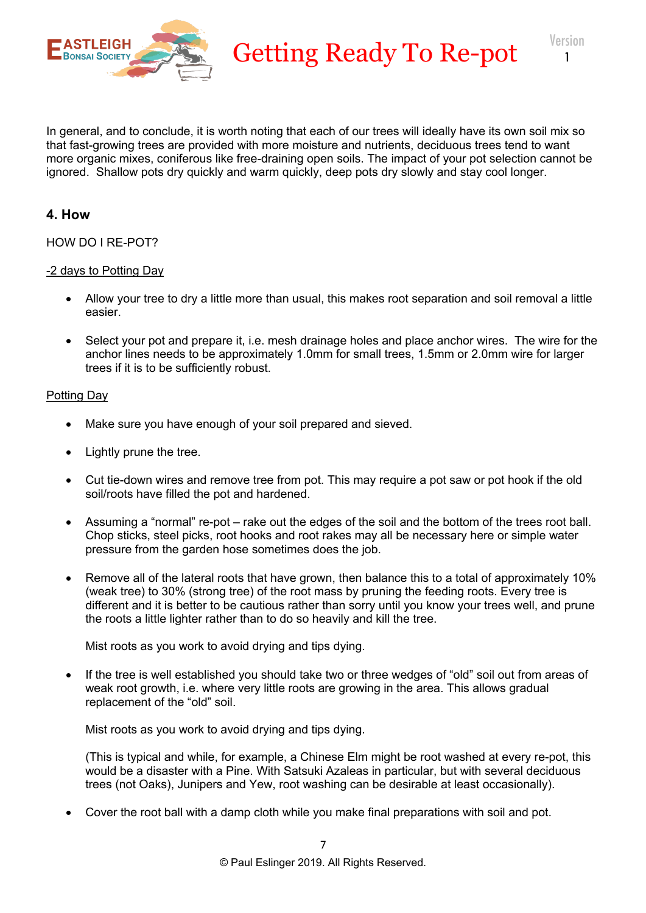

In general, and to conclude, it is worth noting that each of our trees will ideally have its own soil mix so that fast-growing trees are provided with more moisture and nutrients, deciduous trees tend to want more organic mixes, coniferous like free-draining open soils. The impact of your pot selection cannot be ignored. Shallow pots dry quickly and warm quickly, deep pots dry slowly and stay cool longer.

### **4. How**

#### HOW DO I RE-POT?

#### -2 days to Potting Day

- Allow your tree to dry a little more than usual, this makes root separation and soil removal a little easier.
- Select your pot and prepare it, i.e. mesh drainage holes and place anchor wires. The wire for the anchor lines needs to be approximately 1.0mm for small trees, 1.5mm or 2.0mm wire for larger trees if it is to be sufficiently robust.

#### Potting Day

- Make sure you have enough of your soil prepared and sieved.
- Lightly prune the tree.
- Cut tie-down wires and remove tree from pot. This may require a pot saw or pot hook if the old soil/roots have filled the pot and hardened.
- Assuming a "normal" re-pot rake out the edges of the soil and the bottom of the trees root ball. Chop sticks, steel picks, root hooks and root rakes may all be necessary here or simple water pressure from the garden hose sometimes does the job.
- Remove all of the lateral roots that have grown, then balance this to a total of approximately 10% (weak tree) to 30% (strong tree) of the root mass by pruning the feeding roots. Every tree is different and it is better to be cautious rather than sorry until you know your trees well, and prune the roots a little lighter rather than to do so heavily and kill the tree.

Mist roots as you work to avoid drying and tips dying.

• If the tree is well established you should take two or three wedges of "old" soil out from areas of weak root growth, i.e. where very little roots are growing in the area. This allows gradual replacement of the "old" soil.

Mist roots as you work to avoid drying and tips dying.

(This is typical and while, for example, a Chinese Elm might be root washed at every re-pot, this would be a disaster with a Pine. With Satsuki Azaleas in particular, but with several deciduous trees (not Oaks), Junipers and Yew, root washing can be desirable at least occasionally).

• Cover the root ball with a damp cloth while you make final preparations with soil and pot.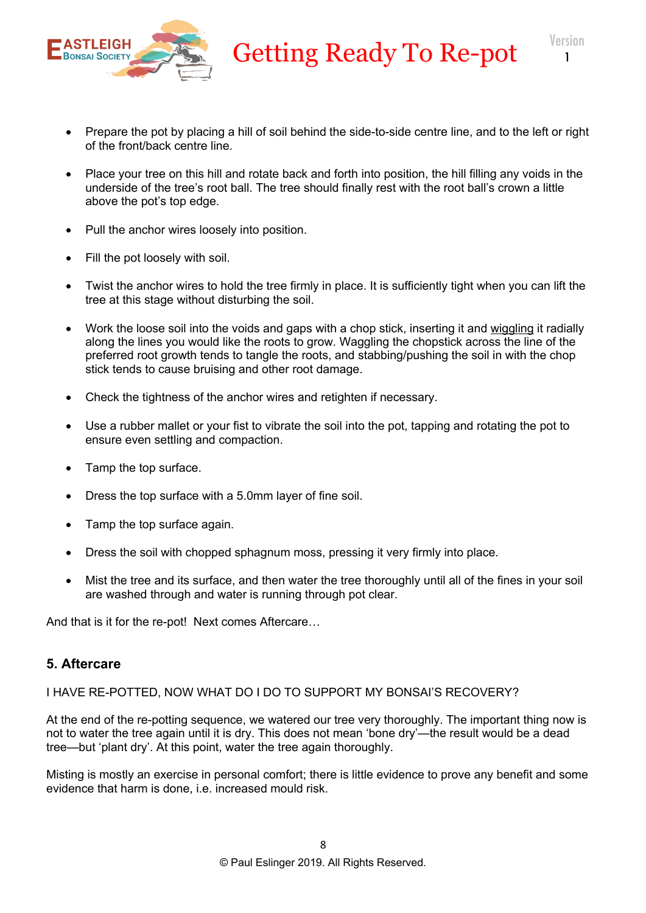

Version 1

- Place your tree on this hill and rotate back and forth into position, the hill filling any voids in the underside of the tree's root ball. The tree should finally rest with the root ball's crown a little above the pot's top edge.
- Pull the anchor wires loosely into position.
- Fill the pot loosely with soil.
- Twist the anchor wires to hold the tree firmly in place. It is sufficiently tight when you can lift the tree at this stage without disturbing the soil.
- Work the loose soil into the voids and gaps with a chop stick, inserting it and wiggling it radially along the lines you would like the roots to grow. Waggling the chopstick across the line of the preferred root growth tends to tangle the roots, and stabbing/pushing the soil in with the chop stick tends to cause bruising and other root damage.
- Check the tightness of the anchor wires and retighten if necessary.
- Use a rubber mallet or your fist to vibrate the soil into the pot, tapping and rotating the pot to ensure even settling and compaction.
- Tamp the top surface.
- Dress the top surface with a 5.0mm layer of fine soil.
- Tamp the top surface again.
- Dress the soil with chopped sphagnum moss, pressing it very firmly into place.
- Mist the tree and its surface, and then water the tree thoroughly until all of the fines in your soil are washed through and water is running through pot clear.

And that is it for the re-pot! Next comes Aftercare…

### **5. Aftercare**

I HAVE RE-POTTED, NOW WHAT DO I DO TO SUPPORT MY BONSAI'S RECOVERY?

At the end of the re-potting sequence, we watered our tree very thoroughly. The important thing now is not to water the tree again until it is dry. This does not mean 'bone dry'—the result would be a dead tree—but 'plant dry'. At this point, water the tree again thoroughly.

Misting is mostly an exercise in personal comfort; there is little evidence to prove any benefit and some evidence that harm is done, i.e. increased mould risk.